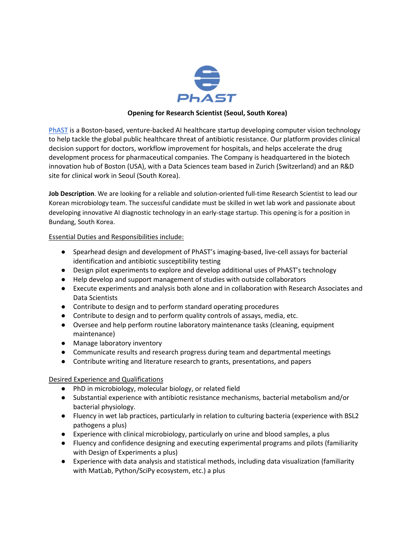

## **Opening for Research Scientist (Seoul, South Korea)**

[PhAST](http://www.phast.ai/) is a Boston-based, venture-backed AI healthcare startup developing computer vision technology to help tackle the global public healthcare threat of antibiotic resistance. Our platform provides clinical decision support for doctors, workflow improvement for hospitals, and helps accelerate the drug development process for pharmaceutical companies. The Company is headquartered in the biotech innovation hub of Boston (USA), with a Data Sciences team based in Zurich (Switzerland) and an R&D site for clinical work in Seoul (South Korea).

**Job Description**. We are looking for a reliable and solution-oriented full-time Research Scientist to lead our Korean microbiology team. The successful candidate must be skilled in wet lab work and passionate about developing innovative AI diagnostic technology in an early-stage startup. This opening is for a position in Bundang, South Korea.

Essential Duties and Responsibilities include:

- Spearhead design and development of PhAST's imaging-based, live-cell assays for bacterial identification and antibiotic susceptibility testing
- Design pilot experiments to explore and develop additional uses of PhAST's technology
- Help develop and support management of studies with outside collaborators
- Execute experiments and analysis both alone and in collaboration with Research Associates and Data Scientists
- Contribute to design and to perform standard operating procedures
- Contribute to design and to perform quality controls of assays, media, etc.
- Oversee and help perform routine laboratory maintenance tasks (cleaning, equipment maintenance)
- Manage laboratory inventory
- Communicate results and research progress during team and departmental meetings
- Contribute writing and literature research to grants, presentations, and papers

Desired Experience and Qualifications

- PhD in microbiology, molecular biology, or related field
- Substantial experience with antibiotic resistance mechanisms, bacterial metabolism and/or bacterial physiology.
- Fluency in wet lab practices, particularly in relation to culturing bacteria (experience with BSL2 pathogens a plus)
- Experience with clinical microbiology, particularly on urine and blood samples, a plus
- Fluency and confidence designing and executing experimental programs and pilots (familiarity with Design of Experiments a plus)
- Experience with data analysis and statistical methods, including data visualization (familiarity with MatLab, Python/SciPy ecosystem, etc.) a plus